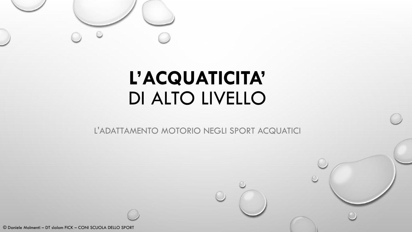

# **L'ACQUATICITA'**  DI ALTO LIVELLO

L'ADATTAMENTO MOTORIO NEGLI SPORT ACQUATICI

© Daniele Molmenti – DT slalom FICK – CONI SCUOLA DELLO SPORT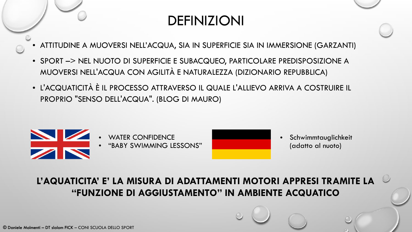## DEFINIZIONI

- ATTITUDINE A MUOVERSI NELL'ACQUA, SIA IN SUPERFICIE SIA IN IMMERSIONE (GARZANTI)
- SPORT –> NEL NUOTO DI SUPERFICIE E SUBACQUEO, PARTICOLARE PREDISPOSIZIONE A MUOVERSI NELL'ACQUA CON AGILITÀ E NATURALEZZA (DIZIONARIO REPUBBLICA)
- L'ACQUATICITÀ È IL PROCESSO ATTRAVERSO IL QUALE L'ALLIEVO ARRIVA A COSTRUIRE IL PROPRIO "SENSO DELL'ACQUA". (BLOG DI MAURO)



WATER CONFIDENCE

• "BABY SWIMMING LESSONS" • Schwimmtauglichkeit (adatto al nuoto)

### **L'AQUATICITA' E' LA MISURA DI ADATTAMENTI MOTORI APPRESI TRAMITE LA "FUNZIONE DI AGGIUSTAMENTO" IN AMBIENTE ACQUATICO**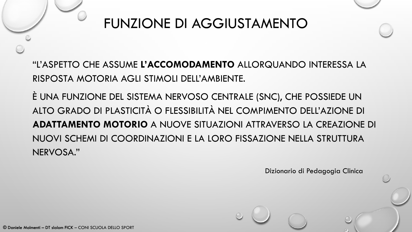

"L'ASPETTO CHE ASSUME **L'ACCOMODAMENTO** ALLORQUANDO INTERESSA LA RISPOSTA MOTORIA AGLI STIMOLI DELL'AMBIENTE.

È UNA FUNZIONE DEL SISTEMA NERVOSO CENTRALE (SNC), CHE POSSIEDE UN ALTO GRADO DI PLASTICITÀ O FLESSIBILITÀ NEL COMPIMENTO DELL'AZIONE DI **ADATTAMENTO MOTORIO** A NUOVE SITUAZIONI ATTRAVERSO LA CREAZIONE DI NUOVI SCHEMI DI COORDINAZIONI E LA LORO FISSAZIONE NELLA STRUTTURA NERVOSA."

Dizionario di Pedagogia Clinica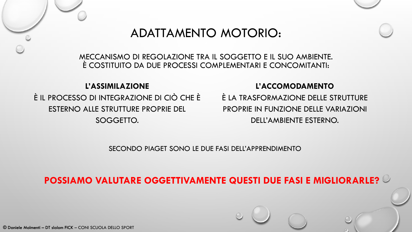### **ADATTAMENTO MOTORIO:**

MECCANISMO DI REGOLAZIONE TRA IL SOGGETTO E IL SUO AMBIENTE. È COSTITUITO DA DUE PROCESSI COMPLEMENTARI E CONCOMITANTI:

#### L'ASSIMILAZIONE

È IL PROCESSO DI INTEGRAZIONE DI CIÒ CHE È ESTERNO ALLE STRUTTURE PROPRIE DEL SOGGETTO.

#### L'ACCOMODAMENTO

E LA TRASFORMAZIONE DELLE STRUTTURE PROPRIE IN FUNZIONE DELLE VARIAZIONI DELL'AMBIENTE ESTERNO.

SECONDO PIAGET SONO LE DUE FASI DELL'APPRENDIMENTO

### **POSSIAMO VALUTARE OGGETTIVAMENTE QUESTI DUE FASI E MIGLIORARLE?**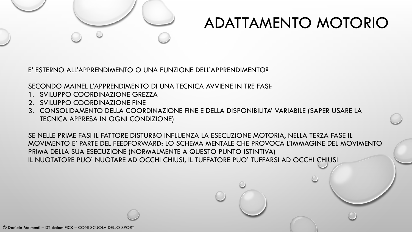

# ADATTAMENTO MOTORIO

E' ESTERNO ALL'APPRENDIMENTO O UNA FUNZIONE DELL'APPRENDIMENTO?

SECONDO MAINEL L'APPRENDIMENTO DI UNA TECNICA AVVIENE IN TRE FASI:

- 1. SVILUPPO COORDINAZIONE GREZZA
- 2. SVILUPPO COORDINAZIONE FINE
- 3. CONSOLIDAMENTO DELLA COORDINAZIONE FINE E DELLA DISPONIBILITA' VARIABILE (SAPER USARE LA TECNICA APPRESA IN OGNI CONDIZIONE)

SE NELLE PRIME FASI IL FATTORE DISTURBO INFLUENZA LA ESECUZIONE MOTORIA, NELLA TERZA FASE IL MOVIMENTO E' PARTE DEL FEEDFORWARD: LO SCHEMA MENTALE CHE PROVOCA L'IMMAGINE DEL MOVIMENTO PRIMA DELLA SUA ESECUZIONE (NORMALMENTE A QUESTO PUNTO ISTINTIVA) IL NUOTATORE PUO' NUOTARE AD OCCHI CHIUSI, IL TUFFATORE PUO' TUFFARSI AD OCCHI CHIUSI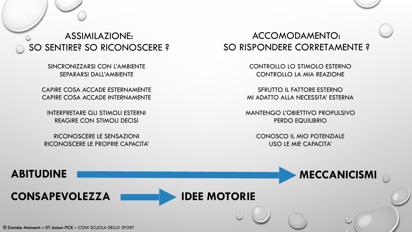### ASSIMILAZIONE: SO SENTIRE? SO RICONOSCERE ?

SINCRONIZZARSI CON L'AMBIENTE SEPARARSI DALL'AMBIENTE

CAPIRE COSA ACCADE ESTERNAMENTE CAPIRE COSA ACCADE INTERNAMENTE

INTERPRETARE GLI STIMOLI ESTERNI REAGIRE CON STIMOLI DECISI

RICONOSCERE LE SENSAZIONI RICONOSCERE LE PROPRIE CAPACITA'

### ACCOMODAMENTO: SO RISPONDERE CORRETAMENTE ?

CONTROLLO LO STIMOLO ESTERNO CONTROLLO LA MIA REAZIONE

SFRUTTO IL FATTORE ESTERNO MI ADATTO ALLA NECESSITA' ESTERNA

MANTENGO L'OBIETTIVO PROPULSIVO PERDO EQUILIBRIO

CONOSCO IL MIO POTENZIALE USO LE MIE CAPACITA'

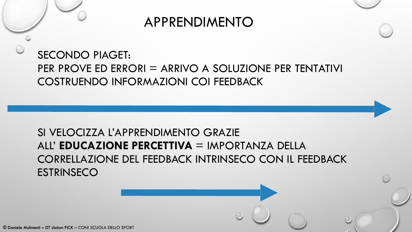

**SECONDO PIAGET:** PER PROVE ED ERRORI = ARRIVO A SOLUZIONE PER TENTATIVI **COSTRUENDO INFORMAZIONI COI FEEDBACK** 

## SI VELOCIZZA L'APPRENDIMENTO GRAZIE ALL' EDUCAZIONE PERCETTIVA = IMPORTANZA DELLA **CORRELLAZIONE DEL FEEDBACK INTRINSECO CON IL FEEDBACK ESTRINSECO**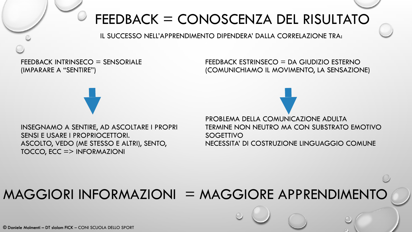# FEEDBACK = CONOSCENZA DEL RISULTATO

IL SUCCESSO NELL'APPRENDIMENTO DIPENDERA' DALLA CORRELAZIONE TRA:

FEEDBACK INTRINSECO = SENSORIALE (IMPARARE A "SENTIRE")

FEEDBACK ESTRINSECO = DA GIUDIZIO ESTERNO (COMUNICHIAMO IL MOVIMENTO, LA SENSAZIONE)

INSEGNAMO A SENTIRE, AD ASCOLTARE I PROPRI SENSI E USARE I PROPRIOCETTORI. ASCOLTO, VEDO (ME STESSO E ALTRI), SENTO, TOCCO, ECC => INFORMAZIONI

PROBLEMA DELLA COMUNICAZIONE ADULTA TERMINE NON NEUTRO MA CON SUBSTRATO EMOTIVO SOGETTIVO NECESSITA' DI COSTRUZIONE LINGUAGGIO COMUNE

## MAGGIORI INFORMAZIONI = MAGGIORE APPRENDIMENTO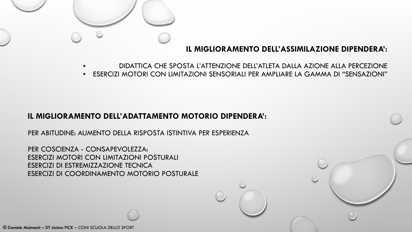

#### **IL MIGLIORAMENTO DELL'ASSIMILAZIONE DIPENDERA':**

• DIDATTICA CHE SPOSTA L'ATTENZIONE DELL'ATLETA DALLA AZIONE ALLA PERCEZIONE • ESERCIZI MOTORI CON LIMITAZIONI SENSORIALI PER AMPLIARE LA GAMMA DI "SENSAZIONI"

#### **IL MIGLIORAMENTO DELL'ADATTAMENTO MOTORIO DIPENDERA':**

PER ABITUDINE: AUMENTO DELLA RISPOSTA ISTINTIVA PER ESPERIENZA

PER COSCIENZA - CONSAPEVOLEZZA: ESERCIZI MOTORI CON LIMITAZIONI POSTURALI ESERCIZI DI ESTREMIZZAZIONE TECNICA ESERCIZI DI COORDINAMENTO MOTORIO POSTURALE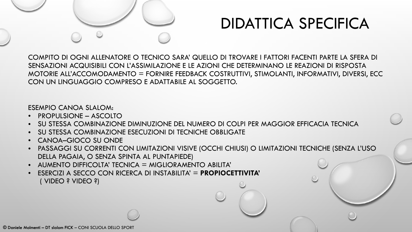

## **DIDATTICA SPECIFICA**

COMPITO DI OGNI ALLENATORE O TECNICO SARA' QUELLO DI TROVARE I FATTORI FACENTI PARTE LA SFERA DI SENSAZIONI ACQUISIBILI CON L'ASSIMILAZIONE E LE AZIONI CHE DETERMINANO LE REAZIONI DI RISPOSTA MOTORIE ALL'ACCOMODAMENTO = FORNIRE FEEDBACK COSTRUTTIVI, STIMOLANTI, INFORMATIVI, DIVERSI, ECC CON UN LINGUAGGIO COMPRESO E ADATTABILE AL SOGGETTO.

#### **ESEMPIO CANOA SLALOM:**

- PROPULSIONE ASCOLTO
- SU STESSA COMBINAZIONE DIMINUZIONE DEL NUMERO DI COLPI PER MAGGIOR EFFICACIA TECNICA
- SU STESSA COMBINAZIONE ESECUZIONI DI TECNICHE OBBLIGATE
- CANOA-GIOCO SU ONDE
- PASSAGGI SU CORRENTI CON LIMITAZIONI VISIVE (OCCHI CHIUSI) O LIMITAZIONI TECNICHE (SENZA L'USO DELLA PAGAIA, O SENZA SPINTA AL PUNTAPIEDE)
- $\bullet$  AUMENTO DIFFICOLTA' TECNICA = MIGLIORAMENTO ABILITA'
- $\bullet$  ESERCIZI A SECCO CON RICERCA DI INSTABILITA' = **PROPIOCETTIVITA'** (VIDEO ? VIDEO ?)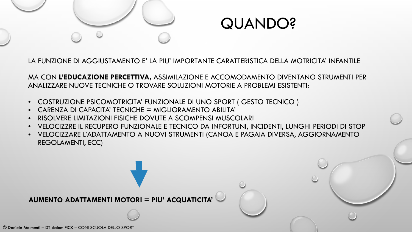



LA FUNZIONE DI AGGIUSTAMENTO E' LA PIU' IMPORTANTE CARATTERISTICA DELLA MOTRICITA' INFANTILE

MA CON **L'EDUCAZIONE PERCETTIVA,** ASSIMILAZIONE E ACCOMODAMENTO DIVENTANO STRUMENTI PER ANALIZZARE NUOVE TECNICHE O TROVARE SOLUZIONI MOTORIE A PROBLEMI ESISTENTI:

- COSTRUZIONE PSICOMOTRICITA' FUNZIONALE DI UNO SPORT ( GESTO TECNICO )
- CARENZA DI CAPACITA' TECNICHE = MIGLIORAMENTO ABILITA'
- RISOLVERE LIMITAZIONI FISICHE DOVUTE A SCOMPENSI MUSCOLARI
- VELOCIZZRE IL RECUPERO FUNZIONALE E TECNICO DA INFORTUNI, INCIDENTI, LUNGHI PERIODI DI STOP
- VELOCIZZARE L'ADATTAMENTO A NUOVI STRUMENTI (CANOA E PAGAIA DIVERSA, AGGIORNAMENTO REGOLAMENTI, ECC)

### **AUMENTO ADATTAMENTI MOTORI = PIU' ACQUATICITA'**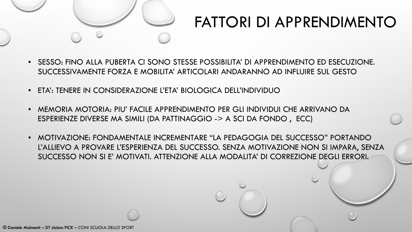

# FATTORI DI APPRENDIMENTO

- SESSO: FINO ALLA PUBERTA CI SONO STESSE POSSIBILITA' DI APPRENDIMENTO ED ESECUZIONE. SUCCESSIVAMENTE FORZA E MOBILITA' ARTICOLARI ANDARANNO AD INFLUIRE SUL GESTO
- ETA': TENERE IN CONSIDERAZIONE L'ETA' BIOLOGICA DELL'INDIVIDUO
- MEMORIA MOTORIA: PIU' FACILE APPRENDIMENTO PER GLI INDIVIDUI CHE ARRIVANO DA ESPERIENZE DIVERSE MA SIMILI (DA PATTINAGGIO -> A SCI DA FONDO , ECC)
- MOTIVAZIONE: FONDAMENTALE INCREMENTARE "LA PEDAGOGIA DEL SUCCESSO" PORTANDO L'ALLIEVO A PROVARE L'ESPERIENZA DEL SUCCESSO. SENZA MOTIVAZIONE NON SI IMPARA, SENZA SUCCESSO NON SI E' MOTIVATI. ATTENZIONE ALLA MODALITA' DI CORREZIONE DEGLI ERRORI.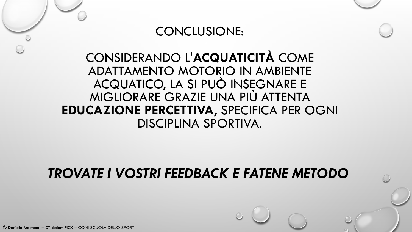

## CONSIDERANDO L'ACQUATICITÀ COME ADATTAMENTO MOTORIO IN AMBIENTE ACQUATICO, LA SI PUÒ INSEGNARE E MIGLIORARE GRAZIE UNA PIÙ ATTENTA **EDUCAZIONE PERCETTIVA, SPECIFICA PER OGNI** DISCIPLINA SPORTIVA.

## **TROVATE I VOSTRI FEEDBACK E FATENE METODO**

© Daniele Molmenti - DT slalom FICK - CONI SCUOLA DELLO SPORT